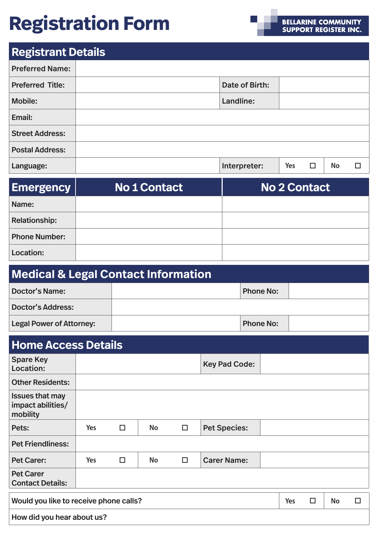# **Registration Form**

## **Registrant Details**

| <b>Preferred Name:</b>  |                |     |   |           |   |
|-------------------------|----------------|-----|---|-----------|---|
| <b>Preferred Title:</b> | Date of Birth: |     |   |           |   |
| <b>Mobile:</b>          | Landline:      |     |   |           |   |
| Email:                  |                |     |   |           |   |
| <b>Street Address:</b>  |                |     |   |           |   |
| <b>Postal Address:</b>  |                |     |   |           |   |
| Language:               | Interpreter:   | Yes | □ | <b>No</b> | П |

| <b>Emergency</b>     | No 1 Contact | <b>No 2 Contact</b> |
|----------------------|--------------|---------------------|
| Name:                |              |                     |
| <b>Relationship:</b> |              |                     |
| <b>Phone Number:</b> |              |                     |
| <b>Location:</b>     |              |                     |

| <b>Medical &amp; Legal Contact Information</b> |  |                  |  |  |
|------------------------------------------------|--|------------------|--|--|
| <b>Doctor's Name:</b>                          |  | <b>Phone No:</b> |  |  |
| <b>Doctor's Address:</b>                       |  |                  |  |  |
| <b>Legal Power of Attorney:</b>                |  | <b>Phone No:</b> |  |  |

## **Home Access Details**

| ------                                                  |            |        |           |        |                      |     |        |           |   |
|---------------------------------------------------------|------------|--------|-----------|--------|----------------------|-----|--------|-----------|---|
| <b>Spare Key</b><br>Location:                           |            |        |           |        | <b>Key Pad Code:</b> |     |        |           |   |
| <b>Other Residents:</b>                                 |            |        |           |        |                      |     |        |           |   |
| <b>Issues that may</b><br>impact abilities/<br>mobility |            |        |           |        |                      |     |        |           |   |
| Pets:                                                   | <b>Yes</b> | $\Box$ | <b>No</b> | $\Box$ | <b>Pet Species:</b>  |     |        |           |   |
| <b>Pet Friendliness:</b>                                |            |        |           |        |                      |     |        |           |   |
| <b>Pet Carer:</b>                                       | <b>Yes</b> | $\Box$ | <b>No</b> | $\Box$ | <b>Carer Name:</b>   |     |        |           |   |
| <b>Pet Carer</b><br><b>Contact Details:</b>             |            |        |           |        |                      |     |        |           |   |
| Would you like to receive phone calls?                  |            |        |           |        |                      | Yes | $\Box$ | <b>No</b> | □ |
| How did you hear about us?                              |            |        |           |        |                      |     |        |           |   |